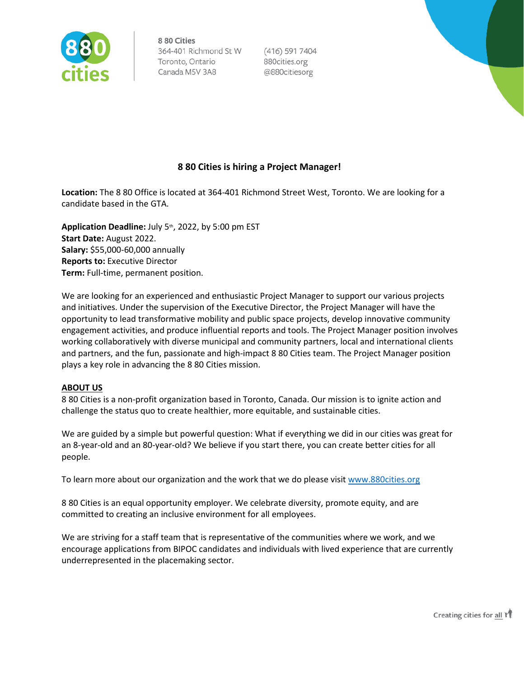

 $(416)$  591 7404 880cities.org @880citiesorg

# **8 80 Cities is hiring a Project Manager!**

**Location:** The 8 80 Office is located at 364-401 Richmond Street West, Toronto. We are looking for a candidate based in the GTA. 

**Application Deadline:** July 5th, 2022, by 5:00 pm EST  **Start Date:** August 2022. **Salary:** \$55,000-60,000 annually **Reports to:** Executive Director  **Term:** Full-time, permanent position.

We are looking for an experienced and enthusiastic Project Manager to support our various projects and initiatives. Under the supervision of the Executive Director, the Project Manager will have the opportunity to lead transformative mobility and public space projects, develop innovative community engagement activities, and produce influential reports and tools. The Project Manager position involves working collaboratively with diverse municipal and community partners, local and international clients and partners, and the fun, passionate and high-impact 8 80 Cities team. The Project Manager position plays a key role in advancing the 8 80 Cities mission.

## **ABOUT US**

8 80 Cities is a non-profit organization based in Toronto, Canada. Our mission is to ignite action and challenge the status quo to create healthier, more equitable, and sustainable cities.

We are guided by a simple but powerful question: What if everything we did in our cities was great for an 8-year-old and an 80-year-old? We believe if you start there, you can create better cities for all people.

To learn more about our organization and the work that we do please visit [www.880cities.org](http://www.880cities.org/)

8 80 Cities is an equal opportunity employer. We celebrate diversity, promote equity, and are committed to creating an inclusive environment for all employees.

We are striving for a staff team that is representative of the communities where we work, and we encourage applications from BIPOC candidates and individuals with lived experience that are currently underrepresented in the placemaking sector.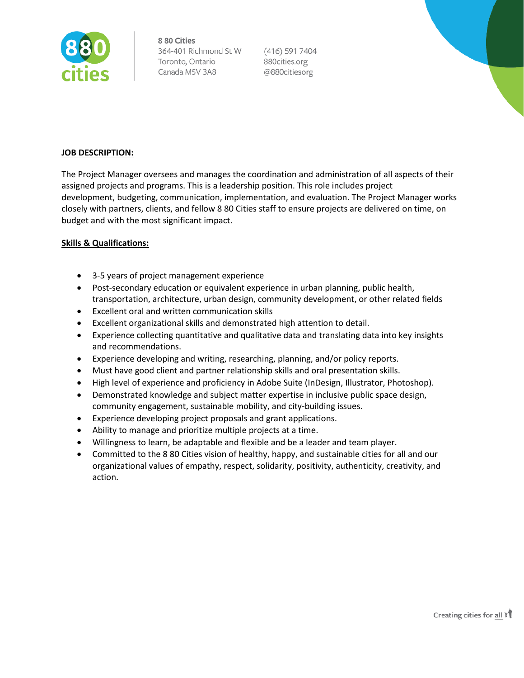

(416) 591 7404 880cities.org @880citiesorg

# **JOB DESCRIPTION:**

The Project Manager oversees and manages the coordination and administration of all aspects of their assigned projects and programs. This is a leadership position. This role includes project development, budgeting, communication, implementation, and evaluation. The Project Manager works closely with partners, clients, and fellow 8 80 Cities staff to ensure projects are delivered on time, on budget and with the most significant impact.  

## **Skills & Qualifications:**

- 3-5 years of project management experience
- Post-secondary education or equivalent experience in urban planning, public health, transportation, architecture, urban design, community development, or other related fields
- Excellent oral and written communication skills
- Excellent organizational skills and demonstrated high attention to detail.
- Experience collecting quantitative and qualitative data and translating data into key insights and recommendations.
- Experience developing and writing, researching, planning, and/or policy reports.
- Must have good client and partner relationship skills and oral presentation skills.
- High level of experience and proficiency in Adobe Suite (InDesign, Illustrator, Photoshop).
- Demonstrated knowledge and subject matter expertise in inclusive public space design, community engagement, sustainable mobility, and city-building issues.
- Experience developing project proposals and grant applications.
- Ability to manage and prioritize multiple projects at a time.
- Willingness to learn, be adaptable and flexible and be a leader and team player.
- Committed to the 8 80 Cities vision of healthy, happy, and sustainable cities for all and our organizational values of empathy, respect, solidarity, positivity, authenticity, creativity, and action.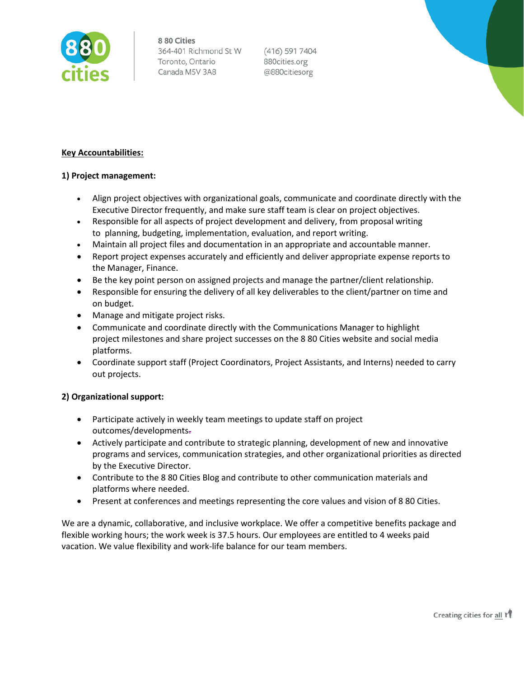

 $(416)$  591 7404 880cities.org @880citiesorg

# **Key Accountabilities:**

# **1) Project management:**

- Align project objectives with organizational goals, communicate and coordinate directly with the Executive Director frequently, and make sure staff team is clear on project objectives.
- Responsible for all aspects of project development and delivery, from proposal writing to planning, budgeting, implementation, evaluation, and report writing.
- Maintain all project files and documentation in an appropriate and accountable manner.
- Report project expenses accurately and efficiently and deliver appropriate expense reports to the Manager, Finance.
- Be the key point person on assigned projects and manage the partner/client relationship.
- Responsible for ensuring the delivery of all key deliverables to the client/partner on time and on budget.
- Manage and mitigate project risks.
- Communicate and coordinate directly with the Communications Manager to highlight project milestones and share project successes on the 8 80 Cities website and social media platforms.
- Coordinate support staff (Project Coordinators, Project Assistants, and Interns) needed to carry out projects.

## **2) Organizational support:**

- Participate actively in weekly team meetings to update staff on project outcomes/developments.
- Actively participate and contribute to strategic planning, development of new and innovative programs and services, communication strategies, and other organizational priorities as directed by the Executive Director.
- Contribute to the 8 80 Cities Blog and contribute to other communication materials and platforms where needed.
- Present at conferences and meetings representing the core values and vision of 8 80 Cities.

We are a dynamic, collaborative, and inclusive workplace. We offer a competitive benefits package and flexible working hours; the work week is 37.5 hours. Our employees are entitled to 4 weeks paid vacation. We value flexibility and work-life balance for our team members.